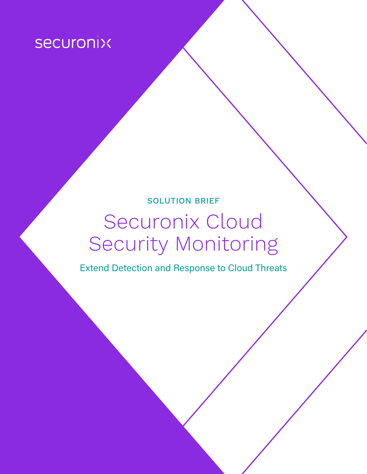## securonix

# SOLUTION BRIEF Securonix Cloud Security Monitoring

Extend Detection and Response to Cloud Threats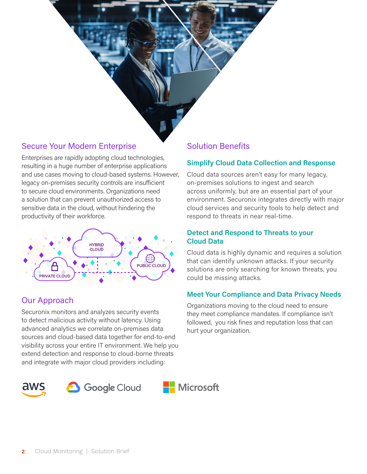## Secure Your Modern Enterprise

Enterprises are rapidly adopting cloud technologies, resulting in a huge number of enterprise applications and use cases moving to cloud-based systems. However, legacy on-premises security controls are insufficient to secure cloud environments. Organizations need a solution that can prevent unauthorized access to sensitive data in the cloud, without hindering the productivity of their workforce.



## Our Approach

Securonix monitors and analyzes security events to detect malicious activity without latency. Using advanced analytics we correlate on-premises data sources and cloud-based data together for end-to-end visibility across your entire IT environment. We help you extend detection and response to cloud-borne threats and integrate with major cloud providers including:





## Solution Benefits

#### **Simplify Cloud Data Collection and Response**

Cloud data sources aren't easy for many legacy, on-premises solutions to ingest and search across uniformly, but are an essential part of your environment. Securonix integrates directly with major cloud services and security tools to help detect and respond to threats in near real-time.

#### **Detect and Respond to Threats to your Cloud Data**

Cloud data is highly dynamic and requires a solution that can identify unknown attacks. If your security solutions are only searching for known threats, you could be missing attacks.

#### **Meet Your Compliance and Data Privacy Needs**

Organizations moving to the cloud need to ensure they meet compliance mandates. If compliance isn't followed, you risk fines and reputation loss that can hurt your organization.